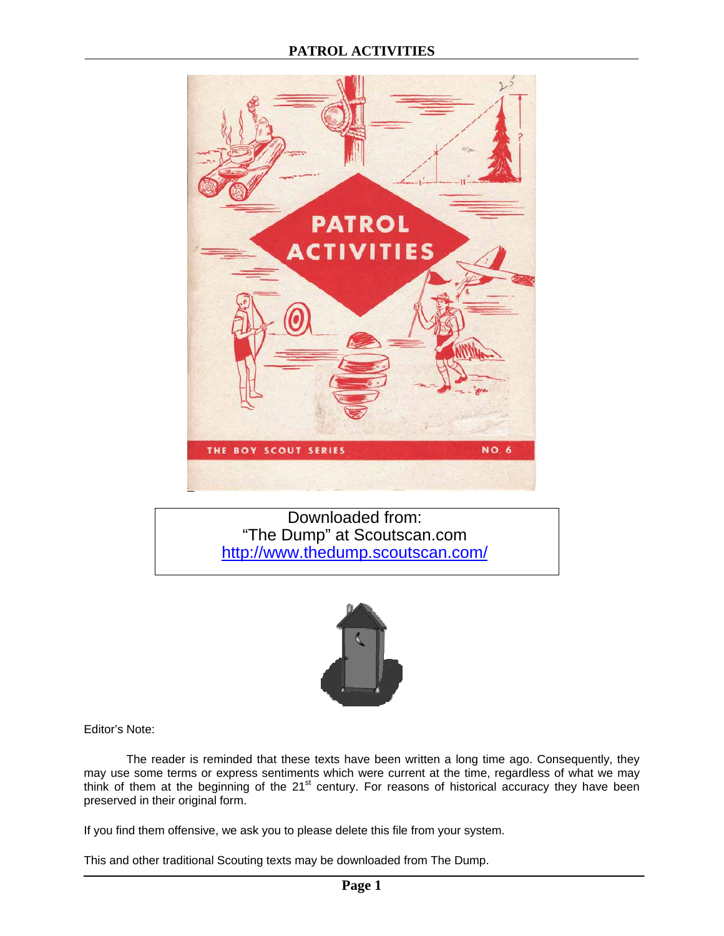# **PATROL ACTIVITIES**



Downloaded from: "The Dump" at Scoutscan.com <http://www.thedump.scoutscan.com/>



Editor's Note:

 The reader is reminded that these texts have been written a long time ago. Consequently, they may use some terms or express sentiments which were current at the time, regardless of what we may think of them at the beginning of the 21 $^{\text{st}}$  century. For reasons of historical accuracy they have been preserved in their original form.

If you find them offensive, we ask you to please delete this file from your system.

This and other traditional Scouting texts may be downloaded from The Dump.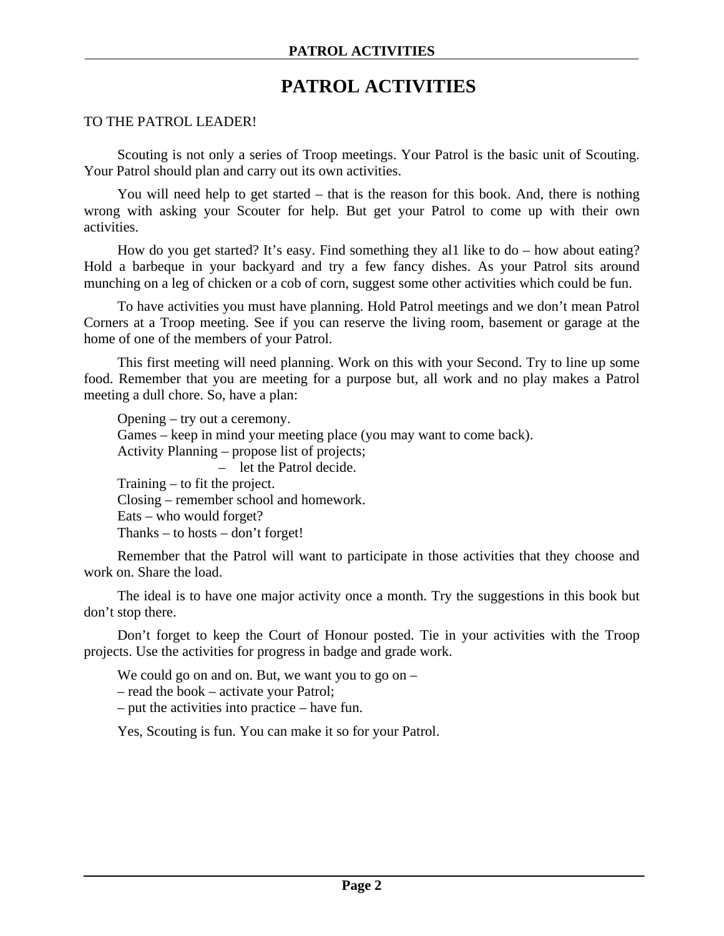# **PATROL ACTIVITIES**

#### TO THE PATROL LEADER!

Scouting is not only a series of Troop meetings. Your Patrol is the basic unit of Scouting. Your Patrol should plan and carry out its own activities.

You will need help to get started – that is the reason for this book. And, there is nothing wrong with asking your Scouter for help. But get your Patrol to come up with their own activities.

How do you get started? It's easy. Find something they all like to do – how about eating? Hold a barbeque in your backyard and try a few fancy dishes. As your Patrol sits around munching on a leg of chicken or a cob of corn, suggest some other activities which could be fun.

To have activities you must have planning. Hold Patrol meetings and we don't mean Patrol Corners at a Troop meeting. See if you can reserve the living room, basement or garage at the home of one of the members of your Patrol.

This first meeting will need planning. Work on this with your Second. Try to line up some food. Remember that you are meeting for a purpose but, all work and no play makes a Patrol meeting a dull chore. So, have a plan:

Opening – try out a ceremony. Games – keep in mind your meeting place (you may want to come back). Activity Planning – propose list of projects; – let the Patrol decide. Training – to fit the project. Closing – remember school and homework. Eats – who would forget? Thanks – to hosts – don't forget!

Remember that the Patrol will want to participate in those activities that they choose and work on. Share the load.

The ideal is to have one major activity once a month. Try the suggestions in this book but don't stop there.

Don't forget to keep the Court of Honour posted. Tie in your activities with the Troop projects. Use the activities for progress in badge and grade work.

We could go on and on. But, we want you to go on –

– read the book – activate your Patrol;

– put the activities into practice – have fun.

Yes, Scouting is fun. You can make it so for your Patrol.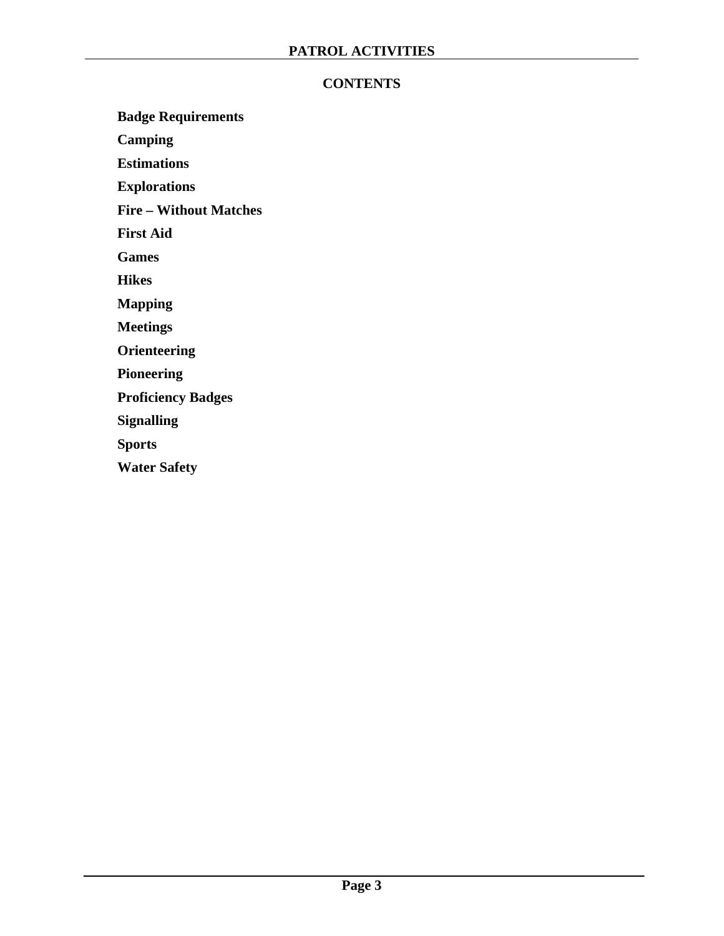# **CONTENTS**

**Badge Requirements** 

**Camping** 

**Estimations** 

**Explorations** 

**Fire – Without Matches** 

**First Aid** 

**Games** 

**Hikes** 

**Mapping** 

**Meetings** 

**Orienteering** 

**Pioneering** 

**Proficiency Badges** 

**Signalling** 

**Sports** 

**Water Safety**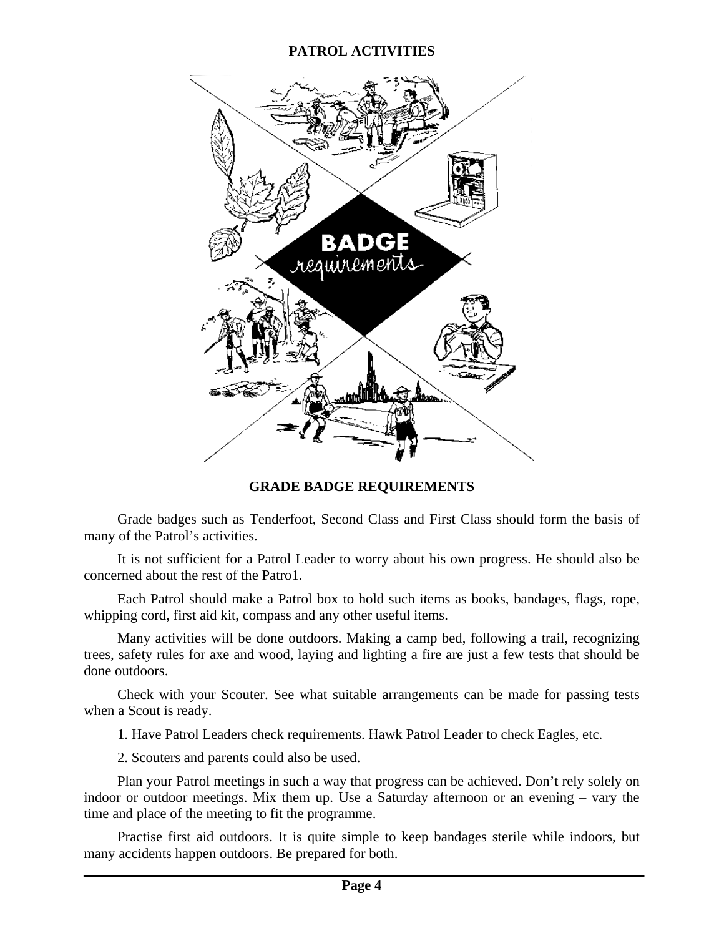

**GRADE BADGE REQUIREMENTS** 

Grade badges such as Tenderfoot, Second Class and First Class should form the basis of many of the Patrol's activities.

It is not sufficient for a Patrol Leader to worry about his own progress. He should also be concerned about the rest of the Patro1.

Each Patrol should make a Patrol box to hold such items as books, bandages, flags, rope, whipping cord, first aid kit, compass and any other useful items.

Many activities will be done outdoors. Making a camp bed, following a trail, recognizing trees, safety rules for axe and wood, laying and lighting a fire are just a few tests that should be done outdoors.

Check with your Scouter. See what suitable arrangements can be made for passing tests when a Scout is ready.

1. Have Patrol Leaders check requirements. Hawk Patrol Leader to check Eagles, etc.

2. Scouters and parents could also be used.

Plan your Patrol meetings in such a way that progress can be achieved. Don't rely solely on indoor or outdoor meetings. Mix them up. Use a Saturday afternoon or an evening – vary the time and place of the meeting to fit the programme.

Practise first aid outdoors. It is quite simple to keep bandages sterile while indoors, but many accidents happen outdoors. Be prepared for both.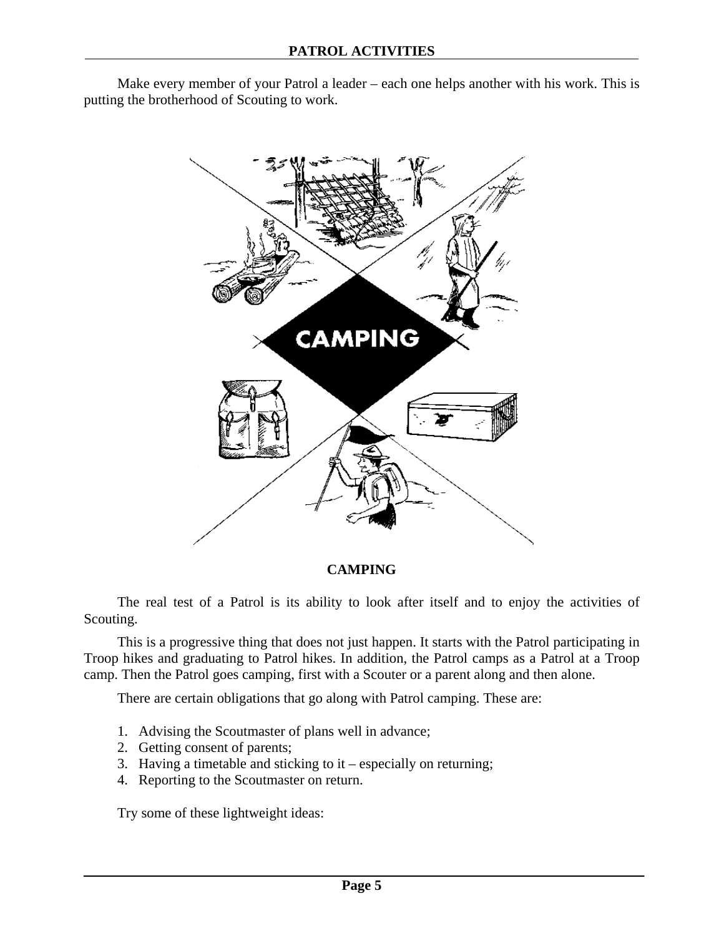Make every member of your Patrol a leader – each one helps another with his work. This is putting the brotherhood of Scouting to work.



**CAMPING** 

The real test of a Patrol is its ability to look after itself and to enjoy the activities of Scouting.

This is a progressive thing that does not just happen. It starts with the Patrol participating in Troop hikes and graduating to Patrol hikes. In addition, the Patrol camps as a Patrol at a Troop camp. Then the Patrol goes camping, first with a Scouter or a parent along and then alone.

There are certain obligations that go along with Patrol camping. These are:

- 1. Advising the Scoutmaster of plans well in advance;
- 2. Getting consent of parents;
- 3. Having a timetable and sticking to it especially on returning;
- 4. Reporting to the Scoutmaster on return.

Try some of these lightweight ideas: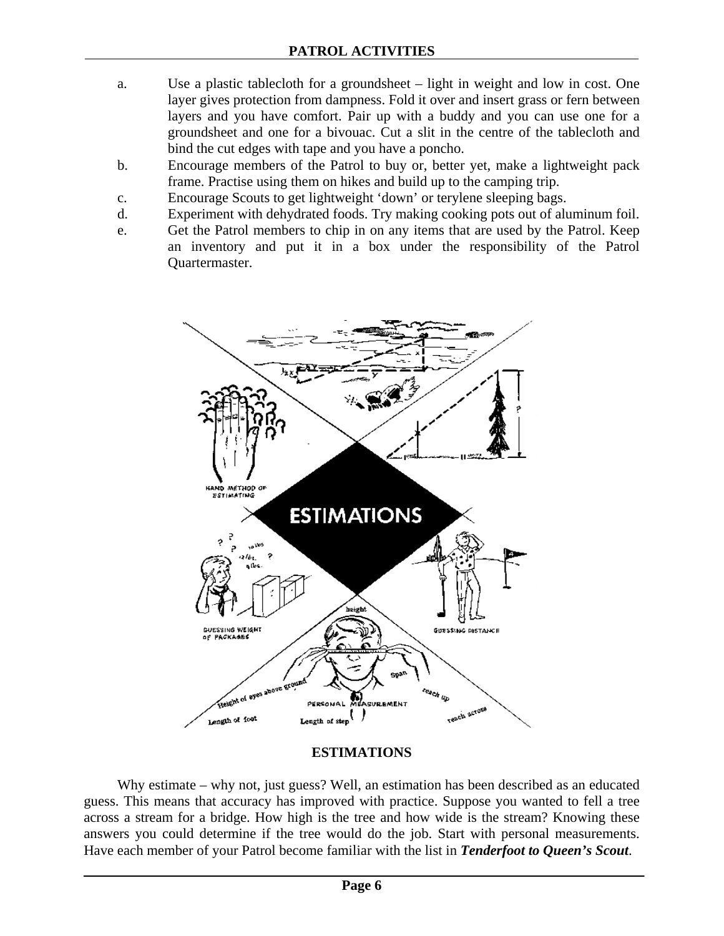- a. Use a plastic tablecloth for a groundsheet light in weight and low in cost. One layer gives protection from dampness. Fold it over and insert grass or fern between layers and you have comfort. Pair up with a buddy and you can use one for a groundsheet and one for a bivouac. Cut a slit in the centre of the tablecloth and bind the cut edges with tape and you have a poncho.
- b. Encourage members of the Patrol to buy or, better yet, make a lightweight pack frame. Practise using them on hikes and build up to the camping trip.
- c. Encourage Scouts to get lightweight 'down' or terylene sleeping bags.
- d. Experiment with dehydrated foods. Try making cooking pots out of aluminum foil.
- e. Get the Patrol members to chip in on any items that are used by the Patrol. Keep an inventory and put it in a box under the responsibility of the Patrol Quartermaster.



#### **ESTIMATIONS**

Why estimate – why not, just guess? Well, an estimation has been described as an educated guess. This means that accuracy has improved with practice. Suppose you wanted to fell a tree across a stream for a bridge. How high is the tree and how wide is the stream? Knowing these answers you could determine if the tree would do the job. Start with personal measurements. Have each member of your Patrol become familiar with the list in *Tenderfoot to Queen's Scout*.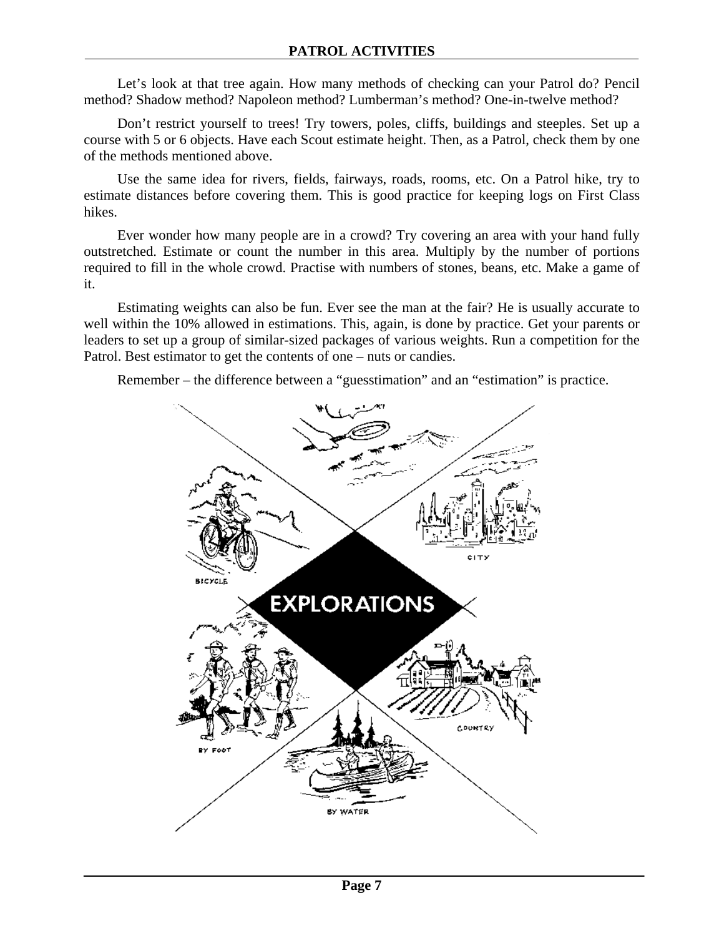Let's look at that tree again. How many methods of checking can your Patrol do? Pencil method? Shadow method? Napoleon method? Lumberman's method? One-in-twelve method?

Don't restrict yourself to trees! Try towers, poles, cliffs, buildings and steeples. Set up a course with 5 or 6 objects. Have each Scout estimate height. Then, as a Patrol, check them by one of the methods mentioned above.

Use the same idea for rivers, fields, fairways, roads, rooms, etc. On a Patrol hike, try to estimate distances before covering them. This is good practice for keeping logs on First Class hikes.

Ever wonder how many people are in a crowd? Try covering an area with your hand fully outstretched. Estimate or count the number in this area. Multiply by the number of portions required to fill in the whole crowd. Practise with numbers of stones, beans, etc. Make a game of it.

Estimating weights can also be fun. Ever see the man at the fair? He is usually accurate to well within the 10% allowed in estimations. This, again, is done by practice. Get your parents or leaders to set up a group of similar-sized packages of various weights. Run a competition for the Patrol. Best estimator to get the contents of one – nuts or candies.

Remember – the difference between a "guesstimation" and an "estimation" is practice.

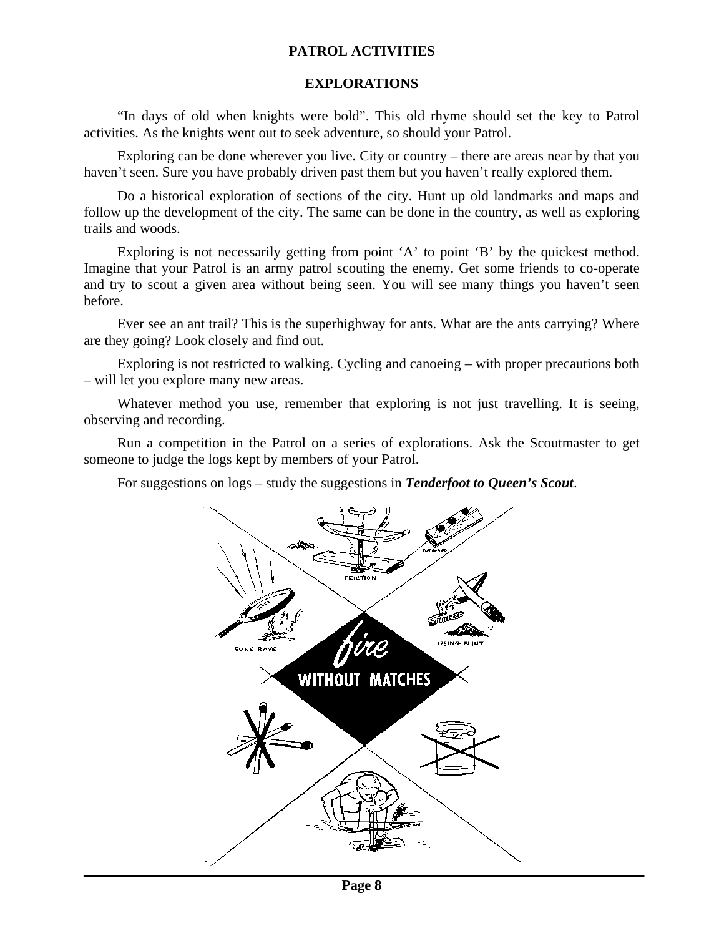# **EXPLORATIONS**

"In days of old when knights were bold". This old rhyme should set the key to Patrol activities. As the knights went out to seek adventure, so should your Patrol.

Exploring can be done wherever you live. City or country – there are areas near by that you haven't seen. Sure you have probably driven past them but you haven't really explored them.

Do a historical exploration of sections of the city. Hunt up old landmarks and maps and follow up the development of the city. The same can be done in the country, as well as exploring trails and woods.

Exploring is not necessarily getting from point 'A' to point 'B' by the quickest method. Imagine that your Patrol is an army patrol scouting the enemy. Get some friends to co-operate and try to scout a given area without being seen. You will see many things you haven't seen before.

Ever see an ant trail? This is the superhighway for ants. What are the ants carrying? Where are they going? Look closely and find out.

Exploring is not restricted to walking. Cycling and canoeing – with proper precautions both – will let you explore many new areas.

Whatever method you use, remember that exploring is not just travelling. It is seeing, observing and recording.

Run a competition in the Patrol on a series of explorations. Ask the Scoutmaster to get someone to judge the logs kept by members of your Patrol.

For suggestions on logs – study the suggestions in *Tenderfoot to Queen's Scout*.

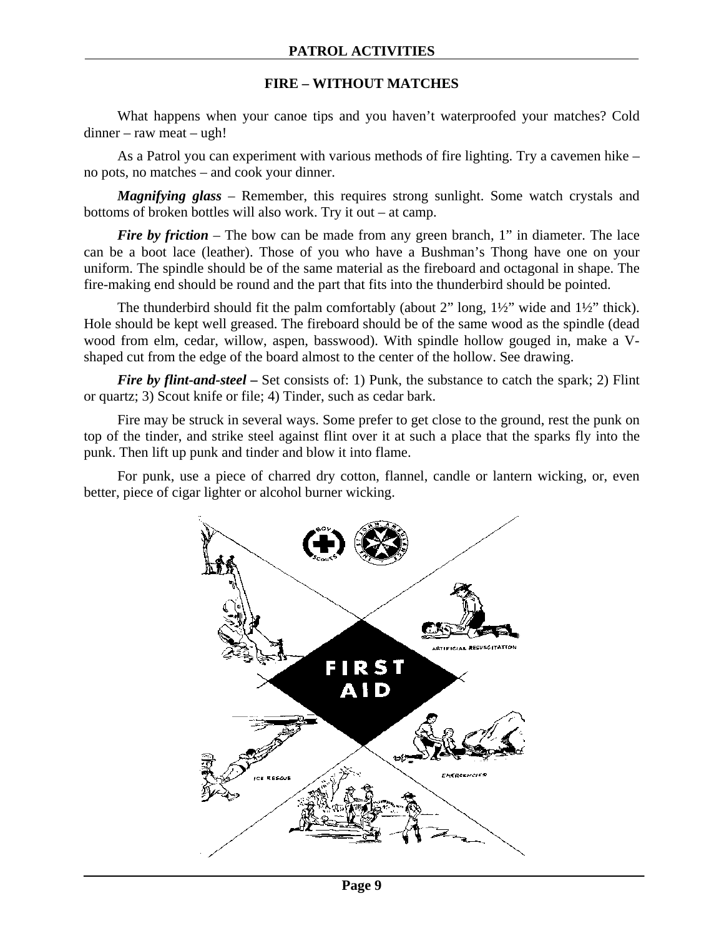# **FIRE – WITHOUT MATCHES**

What happens when your canoe tips and you haven't waterproofed your matches? Cold dinner – raw meat – ugh!

As a Patrol you can experiment with various methods of fire lighting. Try a cavemen hike – no pots, no matches – and cook your dinner.

*Magnifying glass* – Remember, this requires strong sunlight. Some watch crystals and bottoms of broken bottles will also work. Try it out – at camp.

*Fire by friction* – The bow can be made from any green branch, 1" in diameter. The lace can be a boot lace (leather). Those of you who have a Bushman's Thong have one on your uniform. The spindle should be of the same material as the fireboard and octagonal in shape. The fire-making end should be round and the part that fits into the thunderbird should be pointed.

The thunderbird should fit the palm comfortably (about 2" long, 1½" wide and 1½" thick). Hole should be kept well greased. The fireboard should be of the same wood as the spindle (dead wood from elm, cedar, willow, aspen, basswood). With spindle hollow gouged in, make a Vshaped cut from the edge of the board almost to the center of the hollow. See drawing.

*Fire by flint-and-steel –* Set consists of: 1) Punk, the substance to catch the spark; 2) Flint or quartz; 3) Scout knife or file; 4) Tinder, such as cedar bark.

Fire may be struck in several ways. Some prefer to get close to the ground, rest the punk on top of the tinder, and strike steel against flint over it at such a place that the sparks fly into the punk. Then lift up punk and tinder and blow it into flame.

For punk, use a piece of charred dry cotton, flannel, candle or lantern wicking, or, even better, piece of cigar lighter or alcohol burner wicking.

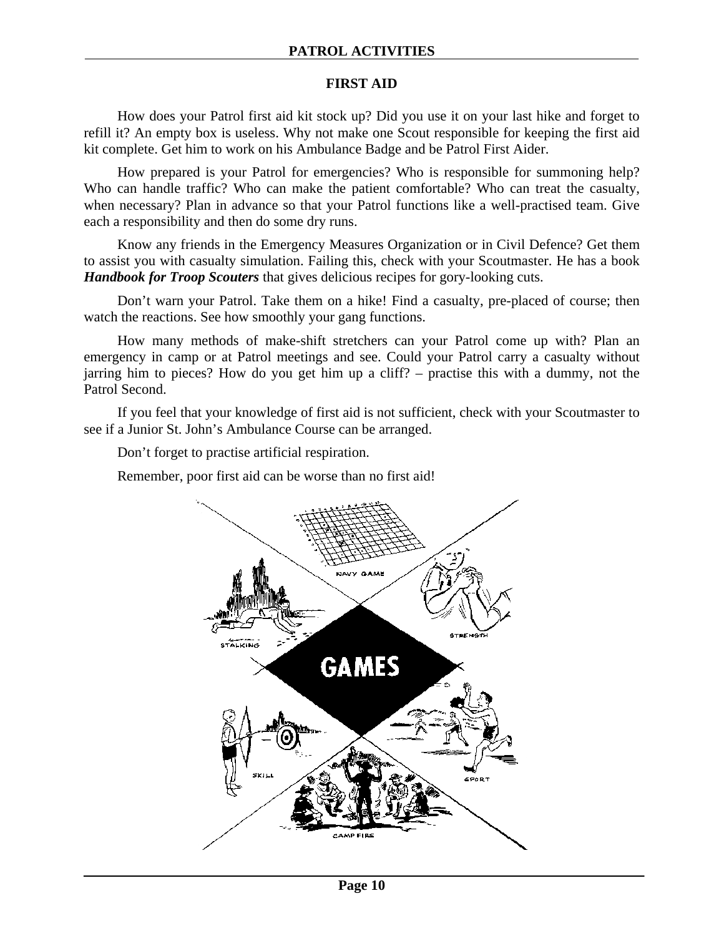# **FIRST AID**

How does your Patrol first aid kit stock up? Did you use it on your last hike and forget to refill it? An empty box is useless. Why not make one Scout responsible for keeping the first aid kit complete. Get him to work on his Ambulance Badge and be Patrol First Aider.

How prepared is your Patrol for emergencies? Who is responsible for summoning help? Who can handle traffic? Who can make the patient comfortable? Who can treat the casualty, when necessary? Plan in advance so that your Patrol functions like a well-practised team. Give each a responsibility and then do some dry runs.

Know any friends in the Emergency Measures Organization or in Civil Defence? Get them to assist you with casualty simulation. Failing this, check with your Scoutmaster. He has a book *Handbook for Troop Scouters* that gives delicious recipes for gory-looking cuts.

Don't warn your Patrol. Take them on a hike! Find a casualty, pre-placed of course; then watch the reactions. See how smoothly your gang functions.

How many methods of make-shift stretchers can your Patrol come up with? Plan an emergency in camp or at Patrol meetings and see. Could your Patrol carry a casualty without jarring him to pieces? How do you get him up a cliff? – practise this with a dummy, not the Patrol Second.

If you feel that your knowledge of first aid is not sufficient, check with your Scoutmaster to see if a Junior St. John's Ambulance Course can be arranged.

Don't forget to practise artificial respiration.

Remember, poor first aid can be worse than no first aid!

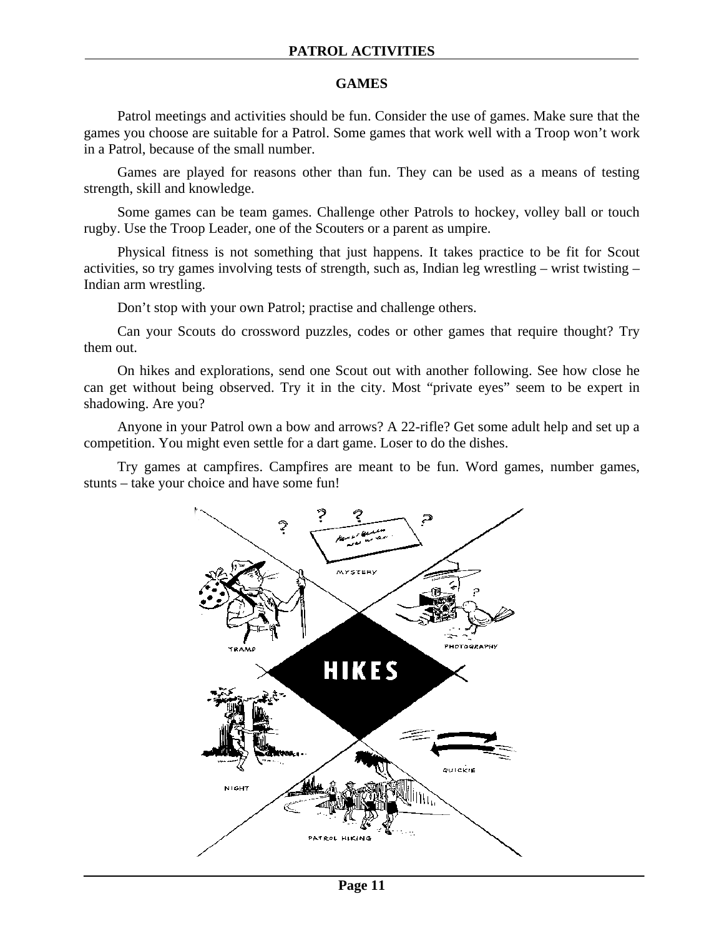#### **GAMES**

Patrol meetings and activities should be fun. Consider the use of games. Make sure that the games you choose are suitable for a Patrol. Some games that work well with a Troop won't work in a Patrol, because of the small number.

Games are played for reasons other than fun. They can be used as a means of testing strength, skill and knowledge.

Some games can be team games. Challenge other Patrols to hockey, volley ball or touch rugby. Use the Troop Leader, one of the Scouters or a parent as umpire.

Physical fitness is not something that just happens. It takes practice to be fit for Scout activities, so try games involving tests of strength, such as, Indian leg wrestling – wrist twisting – Indian arm wrestling.

Don't stop with your own Patrol; practise and challenge others.

Can your Scouts do crossword puzzles, codes or other games that require thought? Try them out.

On hikes and explorations, send one Scout out with another following. See how close he can get without being observed. Try it in the city. Most "private eyes" seem to be expert in shadowing. Are you?

Anyone in your Patrol own a bow and arrows? A 22-rifle? Get some adult help and set up a competition. You might even settle for a dart game. Loser to do the dishes.

Try games at campfires. Campfires are meant to be fun. Word games, number games, stunts – take your choice and have some fun!

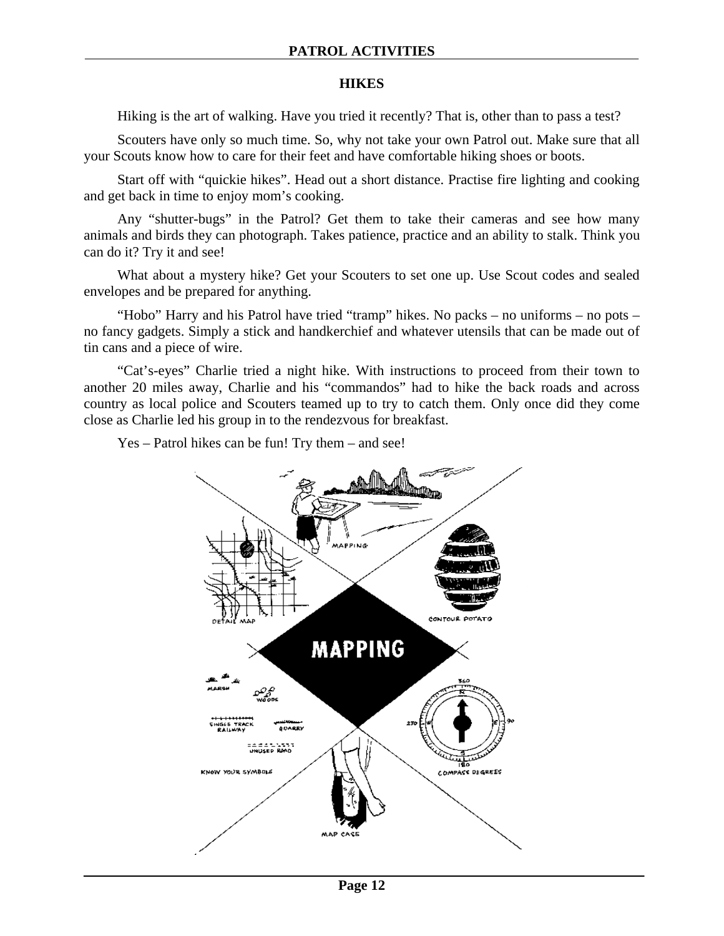# **HIKES**

Hiking is the art of walking. Have you tried it recently? That is, other than to pass a test?

Scouters have only so much time. So, why not take your own Patrol out. Make sure that all your Scouts know how to care for their feet and have comfortable hiking shoes or boots.

Start off with "quickie hikes". Head out a short distance. Practise fire lighting and cooking and get back in time to enjoy mom's cooking.

Any "shutter-bugs" in the Patrol? Get them to take their cameras and see how many animals and birds they can photograph. Takes patience, practice and an ability to stalk. Think you can do it? Try it and see!

What about a mystery hike? Get your Scouters to set one up. Use Scout codes and sealed envelopes and be prepared for anything.

"Hobo" Harry and his Patrol have tried "tramp" hikes. No packs – no uniforms – no pots – no fancy gadgets. Simply a stick and handkerchief and whatever utensils that can be made out of tin cans and a piece of wire.

"Cat's-eyes" Charlie tried a night hike. With instructions to proceed from their town to another 20 miles away, Charlie and his "commandos" had to hike the back roads and across country as local police and Scouters teamed up to try to catch them. Only once did they come close as Charlie led his group in to the rendezvous for breakfast.

Yes – Patrol hikes can be fun! Try them – and see!

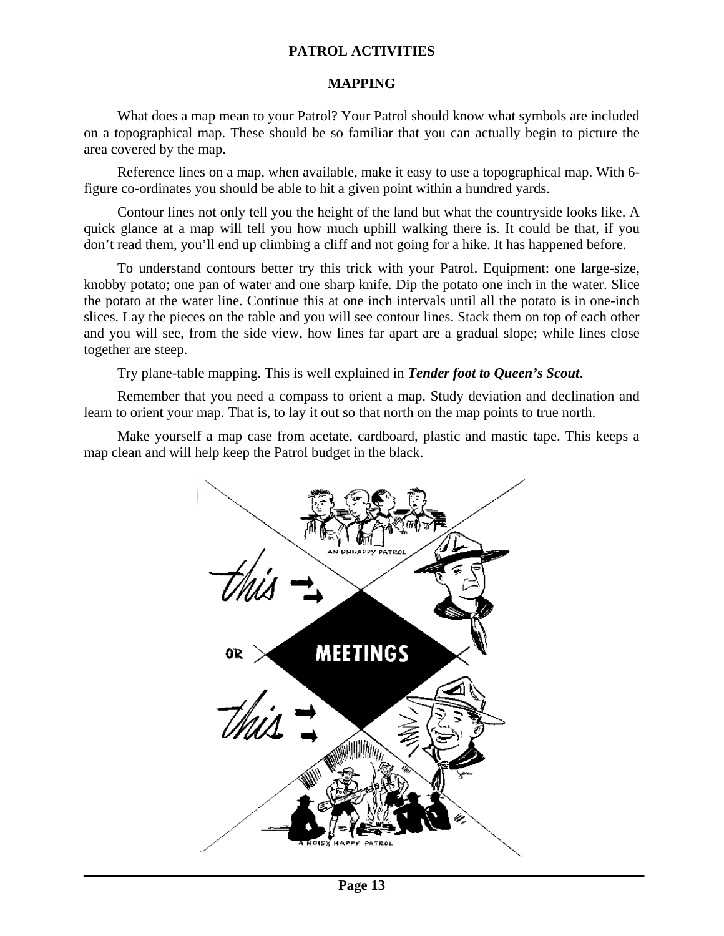# **MAPPING**

What does a map mean to your Patrol? Your Patrol should know what symbols are included on a topographical map. These should be so familiar that you can actually begin to picture the area covered by the map.

Reference lines on a map, when available, make it easy to use a topographical map. With 6 figure co-ordinates you should be able to hit a given point within a hundred yards.

Contour lines not only tell you the height of the land but what the countryside looks like. A quick glance at a map will tell you how much uphill walking there is. It could be that, if you don't read them, you'll end up climbing a cliff and not going for a hike. It has happened before.

To understand contours better try this trick with your Patrol. Equipment: one large-size, knobby potato; one pan of water and one sharp knife. Dip the potato one inch in the water. Slice the potato at the water line. Continue this at one inch intervals until all the potato is in one-inch slices. Lay the pieces on the table and you will see contour lines. Stack them on top of each other and you will see, from the side view, how lines far apart are a gradual slope; while lines close together are steep.

Try plane-table mapping. This is well explained in *Tender foot to Queen's Scout*.

Remember that you need a compass to orient a map. Study deviation and declination and learn to orient your map. That is, to lay it out so that north on the map points to true north.

Make yourself a map case from acetate, cardboard, plastic and mastic tape. This keeps a map clean and will help keep the Patrol budget in the black.

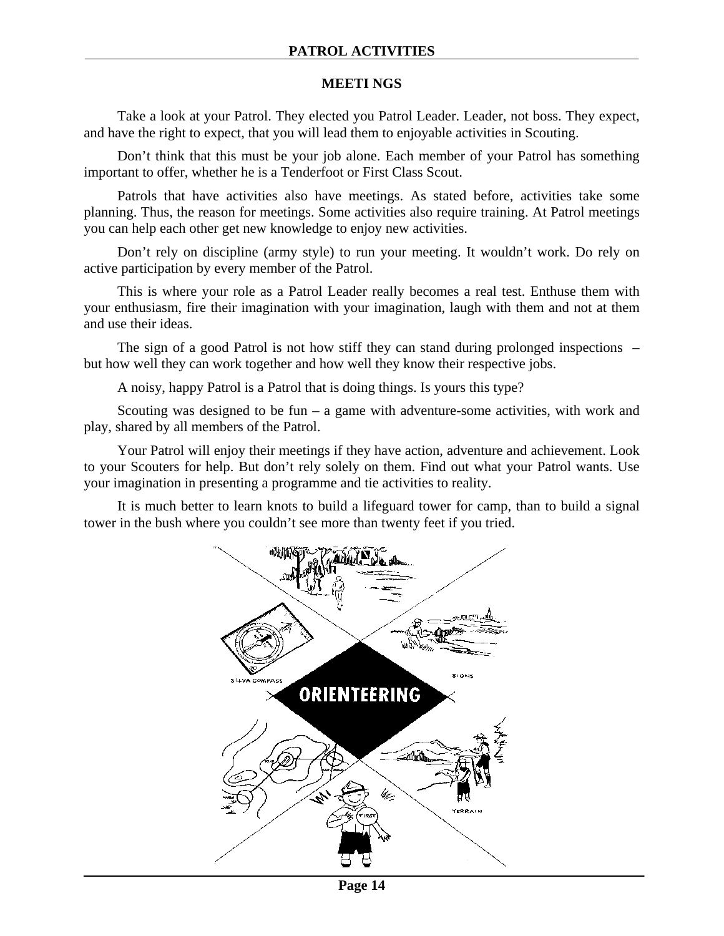#### **MEETI NGS**

Take a look at your Patrol. They elected you Patrol Leader. Leader, not boss. They expect, and have the right to expect, that you will lead them to enjoyable activities in Scouting.

Don't think that this must be your job alone. Each member of your Patrol has something important to offer, whether he is a Tenderfoot or First Class Scout.

Patrols that have activities also have meetings. As stated before, activities take some planning. Thus, the reason for meetings. Some activities also require training. At Patrol meetings you can help each other get new knowledge to enjoy new activities.

Don't rely on discipline (army style) to run your meeting. It wouldn't work. Do rely on active participation by every member of the Patrol.

This is where your role as a Patrol Leader really becomes a real test. Enthuse them with your enthusiasm, fire their imagination with your imagination, laugh with them and not at them and use their ideas.

The sign of a good Patrol is not how stiff they can stand during prolonged inspections – but how well they can work together and how well they know their respective jobs.

A noisy, happy Patrol is a Patrol that is doing things. Is yours this type?

Scouting was designed to be fun – a game with adventure-some activities, with work and play, shared by all members of the Patrol.

Your Patrol will enjoy their meetings if they have action, adventure and achievement. Look to your Scouters for help. But don't rely solely on them. Find out what your Patrol wants. Use your imagination in presenting a programme and tie activities to reality.

It is much better to learn knots to build a lifeguard tower for camp, than to build a signal tower in the bush where you couldn't see more than twenty feet if you tried.



**Page 14**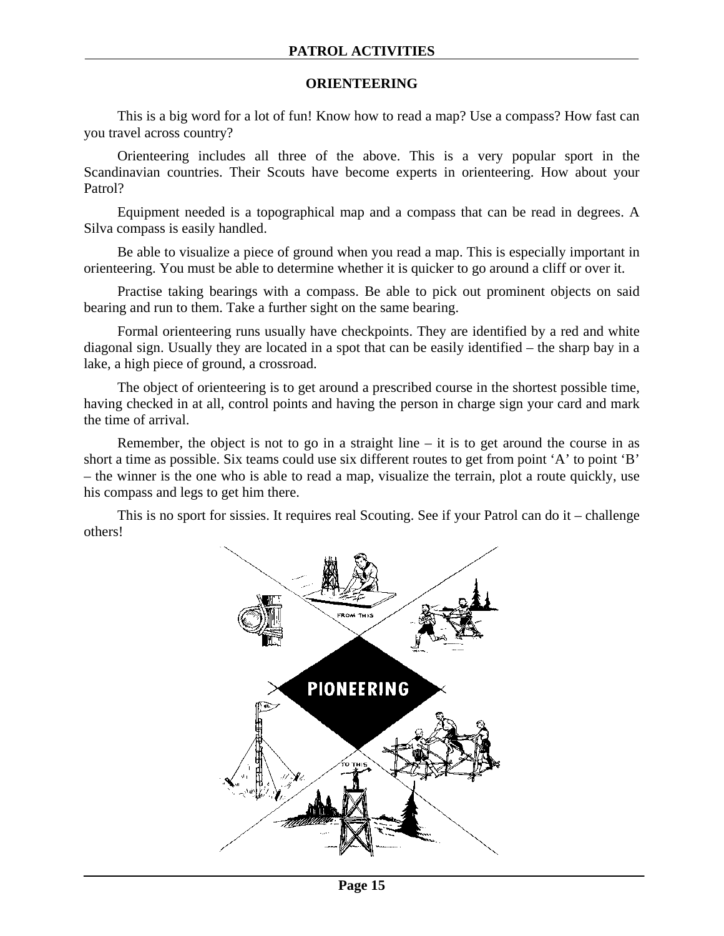## **ORIENTEERING**

This is a big word for a lot of fun! Know how to read a map? Use a compass? How fast can you travel across country?

Orienteering includes all three of the above. This is a very popular sport in the Scandinavian countries. Their Scouts have become experts in orienteering. How about your Patrol?

Equipment needed is a topographical map and a compass that can be read in degrees. A Silva compass is easily handled.

Be able to visualize a piece of ground when you read a map. This is especially important in orienteering. You must be able to determine whether it is quicker to go around a cliff or over it.

Practise taking bearings with a compass. Be able to pick out prominent objects on said bearing and run to them. Take a further sight on the same bearing.

Formal orienteering runs usually have checkpoints. They are identified by a red and white diagonal sign. Usually they are located in a spot that can be easily identified – the sharp bay in a lake, a high piece of ground, a crossroad.

The object of orienteering is to get around a prescribed course in the shortest possible time, having checked in at all, control points and having the person in charge sign your card and mark the time of arrival.

Remember, the object is not to go in a straight line  $-$  it is to get around the course in as short a time as possible. Six teams could use six different routes to get from point 'A' to point 'B' – the winner is the one who is able to read a map, visualize the terrain, plot a route quickly, use his compass and legs to get him there.

This is no sport for sissies. It requires real Scouting. See if your Patrol can do it – challenge others!

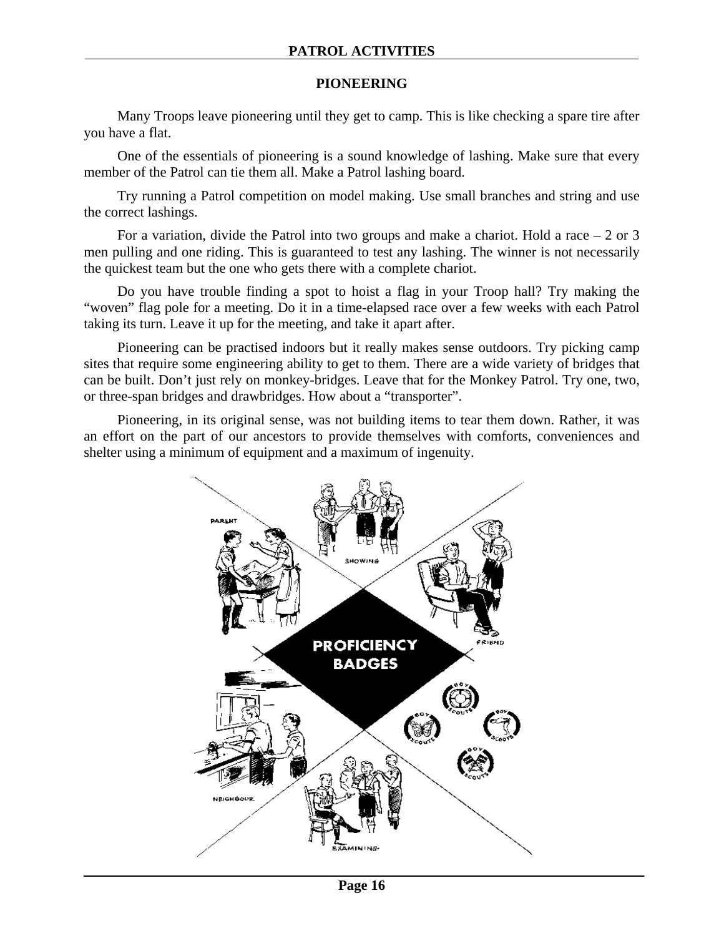### **PIONEERING**

Many Troops leave pioneering until they get to camp. This is like checking a spare tire after you have a flat.

One of the essentials of pioneering is a sound knowledge of lashing. Make sure that every member of the Patrol can tie them all. Make a Patrol lashing board.

Try running a Patrol competition on model making. Use small branches and string and use the correct lashings.

For a variation, divide the Patrol into two groups and make a chariot. Hold a race  $-2$  or 3 men pulling and one riding. This is guaranteed to test any lashing. The winner is not necessarily the quickest team but the one who gets there with a complete chariot.

Do you have trouble finding a spot to hoist a flag in your Troop hall? Try making the "woven" flag pole for a meeting. Do it in a time-elapsed race over a few weeks with each Patrol taking its turn. Leave it up for the meeting, and take it apart after.

Pioneering can be practised indoors but it really makes sense outdoors. Try picking camp sites that require some engineering ability to get to them. There are a wide variety of bridges that can be built. Don't just rely on monkey-bridges. Leave that for the Monkey Patrol. Try one, two, or three-span bridges and drawbridges. How about a "transporter".

Pioneering, in its original sense, was not building items to tear them down. Rather, it was an effort on the part of our ancestors to provide themselves with comforts, conveniences and shelter using a minimum of equipment and a maximum of ingenuity.

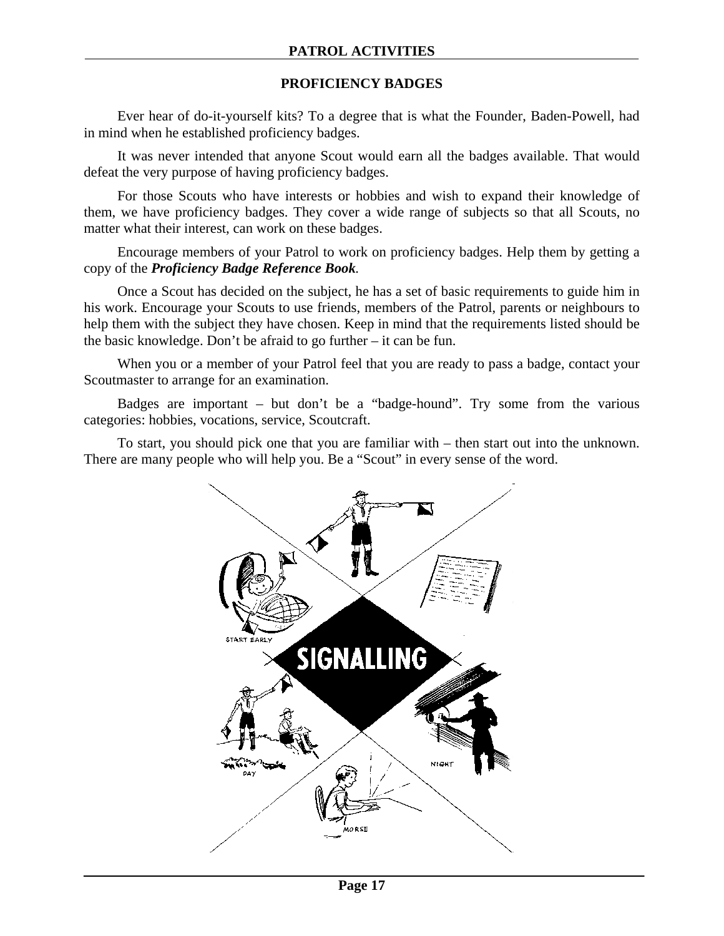# **PROFICIENCY BADGES**

Ever hear of do-it-yourself kits? To a degree that is what the Founder, Baden-Powell, had in mind when he established proficiency badges.

It was never intended that anyone Scout would earn all the badges available. That would defeat the very purpose of having proficiency badges.

For those Scouts who have interests or hobbies and wish to expand their knowledge of them, we have proficiency badges. They cover a wide range of subjects so that all Scouts, no matter what their interest, can work on these badges.

Encourage members of your Patrol to work on proficiency badges. Help them by getting a copy of the *Proficiency Badge Reference Book.* 

Once a Scout has decided on the subject, he has a set of basic requirements to guide him in his work. Encourage your Scouts to use friends, members of the Patrol, parents or neighbours to help them with the subject they have chosen. Keep in mind that the requirements listed should be the basic knowledge. Don't be afraid to go further – it can be fun.

When you or a member of your Patrol feel that you are ready to pass a badge, contact your Scoutmaster to arrange for an examination.

Badges are important – but don't be a "badge-hound". Try some from the various categories: hobbies, vocations, service, Scoutcraft.

To start, you should pick one that you are familiar with – then start out into the unknown. There are many people who will help you. Be a "Scout" in every sense of the word.

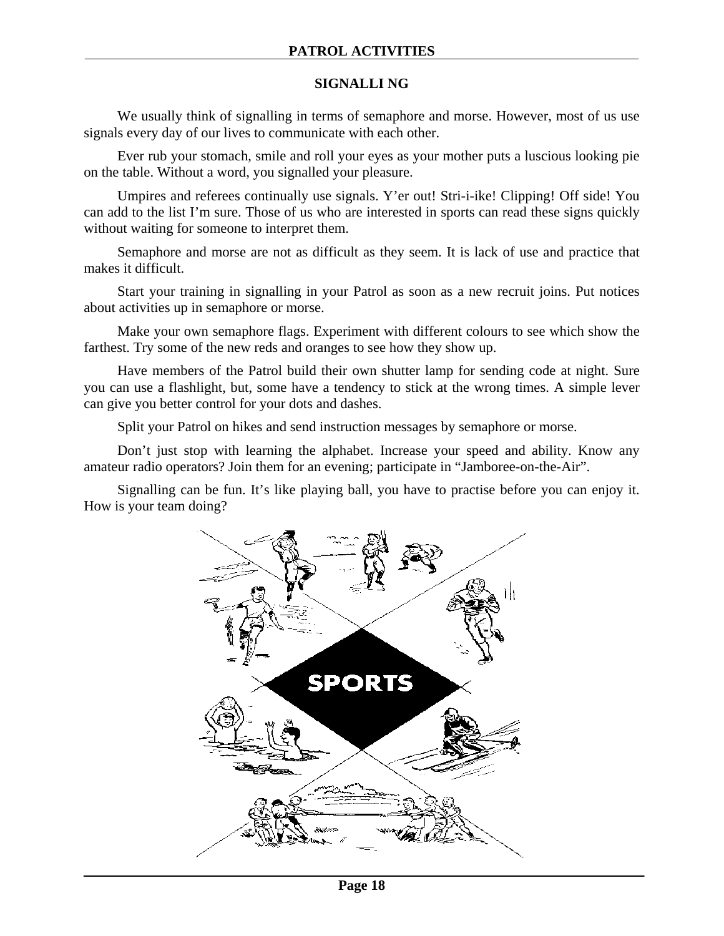#### **SIGNALLI NG**

We usually think of signalling in terms of semaphore and morse. However, most of us use signals every day of our lives to communicate with each other.

Ever rub your stomach, smile and roll your eyes as your mother puts a luscious looking pie on the table. Without a word, you signalled your pleasure.

Umpires and referees continually use signals. Y'er out! Stri-i-ike! Clipping! Off side! You can add to the list I'm sure. Those of us who are interested in sports can read these signs quickly without waiting for someone to interpret them.

Semaphore and morse are not as difficult as they seem. It is lack of use and practice that makes it difficult.

Start your training in signalling in your Patrol as soon as a new recruit joins. Put notices about activities up in semaphore or morse.

Make your own semaphore flags. Experiment with different colours to see which show the farthest. Try some of the new reds and oranges to see how they show up.

Have members of the Patrol build their own shutter lamp for sending code at night. Sure you can use a flashlight, but, some have a tendency to stick at the wrong times. A simple lever can give you better control for your dots and dashes.

Split your Patrol on hikes and send instruction messages by semaphore or morse.

Don't just stop with learning the alphabet. Increase your speed and ability. Know any amateur radio operators? Join them for an evening; participate in "Jamboree-on-the-Air".

Signalling can be fun. It's like playing ball, you have to practise before you can enjoy it. How is your team doing?

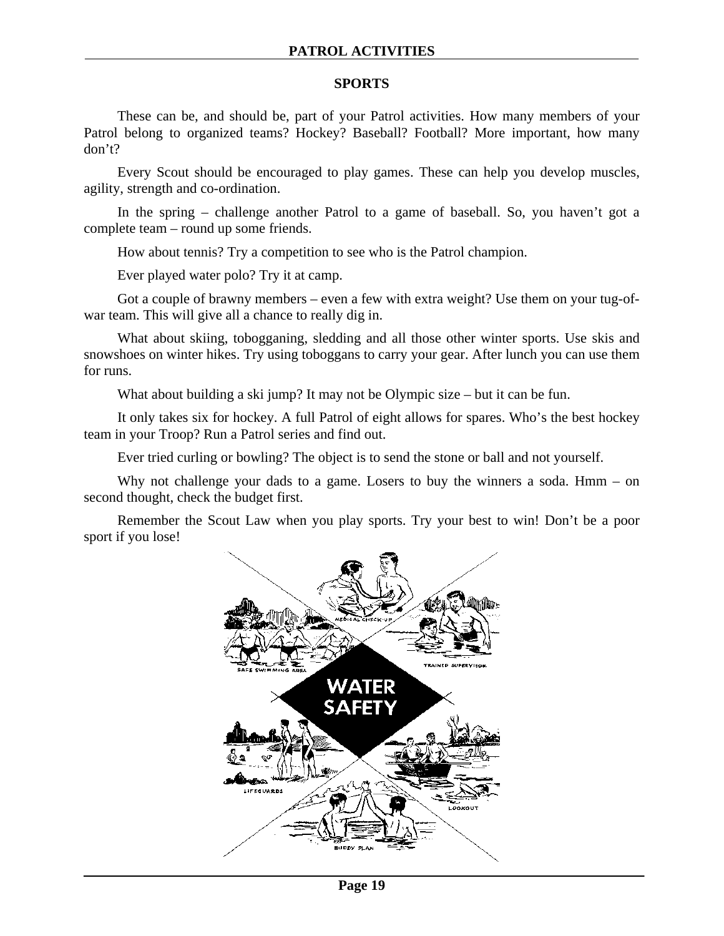#### **SPORTS**

These can be, and should be, part of your Patrol activities. How many members of your Patrol belong to organized teams? Hockey? Baseball? Football? More important, how many don't?

Every Scout should be encouraged to play games. These can help you develop muscles, agility, strength and co-ordination.

In the spring – challenge another Patrol to a game of baseball. So, you haven't got a complete team – round up some friends.

How about tennis? Try a competition to see who is the Patrol champion.

Ever played water polo? Try it at camp.

Got a couple of brawny members – even a few with extra weight? Use them on your tug-ofwar team. This will give all a chance to really dig in.

What about skiing, tobogganing, sledding and all those other winter sports. Use skis and snowshoes on winter hikes. Try using toboggans to carry your gear. After lunch you can use them for runs.

What about building a ski jump? It may not be Olympic size – but it can be fun.

It only takes six for hockey. A full Patrol of eight allows for spares. Who's the best hockey team in your Troop? Run a Patrol series and find out.

Ever tried curling or bowling? The object is to send the stone or ball and not yourself.

Why not challenge your dads to a game. Losers to buy the winners a soda. Hmm – on second thought, check the budget first.

Remember the Scout Law when you play sports. Try your best to win! Don't be a poor sport if you lose!